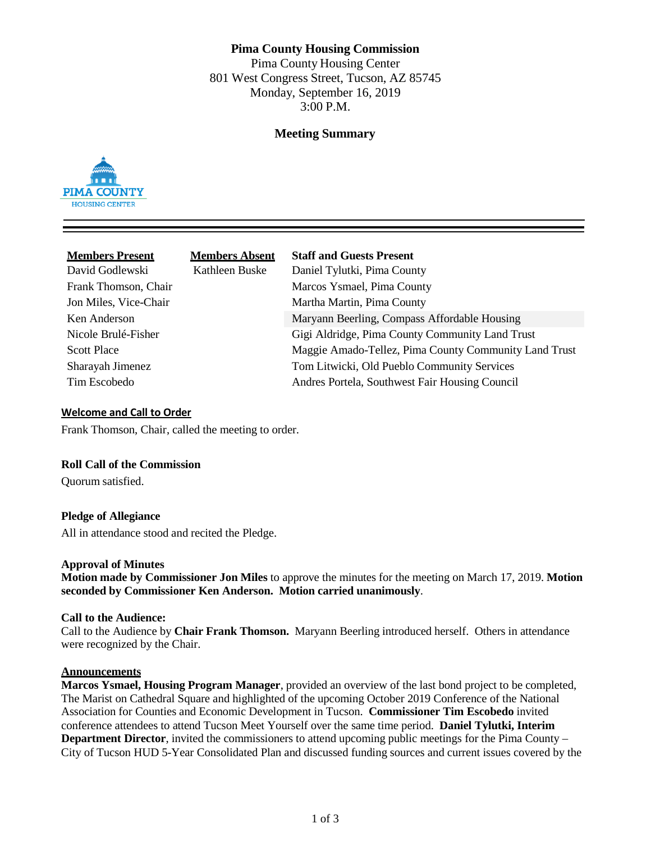# **Pima County Housing Commission**

Pima County Housing Center 801 West Congress Street, Tucson, AZ 85745 Monday, September 16, 2019 3:00 P.M.

# **Meeting Summary**



| <b>Members Present</b><br>David Godlewski<br>Frank Thomson, Chair<br>Jon Miles, Vice-Chair | <b>Members Absent</b><br>Kathleen Buske | <b>Staff and Guests Present</b><br>Daniel Tylutki, Pima County<br>Marcos Ysmael, Pima County<br>Martha Martin, Pima County |
|--------------------------------------------------------------------------------------------|-----------------------------------------|----------------------------------------------------------------------------------------------------------------------------|
| Ken Anderson                                                                               |                                         | Maryann Beerling, Compass Affordable Housing                                                                               |
| Nicole Brulé-Fisher                                                                        |                                         | Gigi Aldridge, Pima County Community Land Trust                                                                            |
| <b>Scott Place</b>                                                                         |                                         | Maggie Amado-Tellez, Pima County Community Land Trust                                                                      |
| Sharayah Jimenez                                                                           |                                         | Tom Litwicki, Old Pueblo Community Services                                                                                |
| Tim Escobedo                                                                               |                                         | Andres Portela, Southwest Fair Housing Council                                                                             |

#### **Welcome and Call to Order**

Frank Thomson, Chair, called the meeting to order.

# **Roll Call of the Commission**

Quorum satisfied.

# **Pledge of Allegiance**

All in attendance stood and recited the Pledge.

#### **Approval of Minutes**

**Motion made by Commissioner Jon Miles** to approve the minutes for the meeting on March 17, 2019. **Motion seconded by Commissioner Ken Anderson. Motion carried unanimously**.

### **Call to the Audience:**

Call to the Audience by **Chair Frank Thomson.** Maryann Beerling introduced herself. Others in attendance were recognized by the Chair.

## **Announcements**

**Marcos Ysmael, Housing Program Manager**, provided an overview of the last bond project to be completed, The Marist on Cathedral Square and highlighted of the upcoming October 2019 Conference of the National Association for Counties and Economic Development in Tucson. **Commissioner Tim Escobedo** invited conference attendees to attend Tucson Meet Yourself over the same time period. **Daniel Tylutki, Interim Department Director**, invited the commissioners to attend upcoming public meetings for the Pima County – City of Tucson HUD 5-Year Consolidated Plan and discussed funding sources and current issues covered by the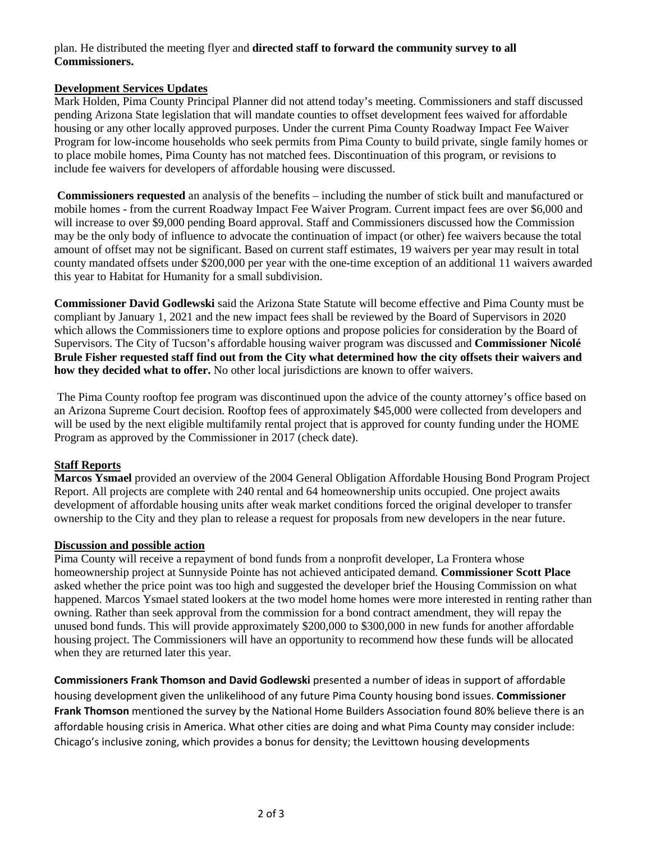# plan. He distributed the meeting flyer and **directed staff to forward the community survey to all Commissioners.**

# **Development Services Updates**

Mark Holden, Pima County Principal Planner did not attend today's meeting. Commissioners and staff discussed pending Arizona State legislation that will mandate counties to offset development fees waived for affordable housing or any other locally approved purposes. Under the current Pima County Roadway Impact Fee Waiver Program for low-income households who seek permits from Pima County to build private, single family homes or to place mobile homes, Pima County has not matched fees. Discontinuation of this program, or revisions to include fee waivers for developers of affordable housing were discussed.

**Commissioners requested** an analysis of the benefits – including the number of stick built and manufactured or mobile homes - from the current Roadway Impact Fee Waiver Program. Current impact fees are over \$6,000 and will increase to over \$9,000 pending Board approval. Staff and Commissioners discussed how the Commission may be the only body of influence to advocate the continuation of impact (or other) fee waivers because the total amount of offset may not be significant. Based on current staff estimates, 19 waivers per year may result in total county mandated offsets under \$200,000 per year with the one-time exception of an additional 11 waivers awarded this year to Habitat for Humanity for a small subdivision.

**Commissioner David Godlewski** said the Arizona State Statute will become effective and Pima County must be compliant by January 1, 2021 and the new impact fees shall be reviewed by the Board of Supervisors in 2020 which allows the Commissioners time to explore options and propose policies for consideration by the Board of Supervisors. The City of Tucson's affordable housing waiver program was discussed and **Commissioner Nicolé Brule Fisher requested staff find out from the City what determined how the city offsets their waivers and how they decided what to offer.** No other local jurisdictions are known to offer waivers.

The Pima County rooftop fee program was discontinued upon the advice of the county attorney's office based on an Arizona Supreme Court decision. Rooftop fees of approximately \$45,000 were collected from developers and will be used by the next eligible multifamily rental project that is approved for county funding under the HOME Program as approved by the Commissioner in 2017 (check date).

# **Staff Reports**

**Marcos Ysmael** provided an overview of the 2004 General Obligation Affordable Housing Bond Program Project Report. All projects are complete with 240 rental and 64 homeownership units occupied. One project awaits development of affordable housing units after weak market conditions forced the original developer to transfer ownership to the City and they plan to release a request for proposals from new developers in the near future.

# **Discussion and possible action**

Pima County will receive a repayment of bond funds from a nonprofit developer, La Frontera whose homeownership project at Sunnyside Pointe has not achieved anticipated demand. **Commissioner Scott Place** asked whether the price point was too high and suggested the developer brief the Housing Commission on what happened. Marcos Ysmael stated lookers at the two model home homes were more interested in renting rather than owning. Rather than seek approval from the commission for a bond contract amendment, they will repay the unused bond funds. This will provide approximately \$200,000 to \$300,000 in new funds for another affordable housing project. The Commissioners will have an opportunity to recommend how these funds will be allocated when they are returned later this year.

**Commissioners Frank Thomson and David Godlewski** presented a number of ideas in support of affordable housing development given the unlikelihood of any future Pima County housing bond issues. **Commissioner Frank Thomson** mentioned the survey by the National Home Builders Association found 80% believe there is an affordable housing crisis in America. What other cities are doing and what Pima County may consider include: Chicago's inclusive zoning, which provides a bonus for density; the Levittown housing developments